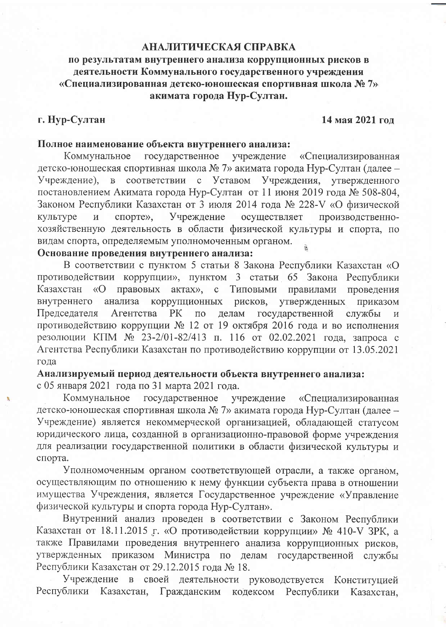#### АНАЛИТИЧЕСКАЯ СПРАВКА

### по результатам внутреннего анализа коррупционных рисков в деятельности Коммунального государственного учреждения «Специализированная детско-юношеская спортивная школа № 7» акимата города Нур-Султан.

#### г. Нур-Султан

#### 14 мая 2021 год

#### Полное наименование объекта внутреннего анализа:

государственное Коммунальное учреждение «Специализированная детско-юношеская спортивная школа № 7» акимата города Нур-Султан (далее -Учреждение), в соответствии с Уставом Учреждения, утвержденного постановлением Акимата города Нур-Султан от 11 июня 2019 года № 508-804, Законом Республики Казахстан от 3 июля 2014 года № 228-V «О физической Учреждение осуществляет производственнокультуре  $\overline{\mathbf{M}}$ спорте», хозяйственную деятельность в области физической культуры и спорта, по видам спорта, определяемым уполномоченным органом.

#### Основание проведения внутреннего анализа:

В соответствии с пунктом 5 статьи 8 Закона Республики Казахстан «О противодействии коррупции», пунктом 3 статьи 65 Закона Республики Казахстан «О правовых  $a$ <sub>K</sub> $a$ <sub>X</sub> $b$ <sub>x</sub> $c$ <sup> $c$ </sup> Типовыми правилами проведения внутреннего анализа коррупционных рисков, утвержденных приказом Председателя Агентства государственной  $PK$  $\Pi$ <sup>O</sup> делам службы  $\overline{M}$ противодействию коррупции № 12 от 19 октября 2016 года и во исполнения резолюции КПМ № 23-2/01-82/413 п. 116 от 02.02.2021 года, запроса с Агентства Республики Казахстан по противодействию коррупции от 13.05.2021 года

Анализируемый период деятельности объекта внутреннего анализа: с 05 января 2021 года по 31 марта 2021 года.

государственное Коммунальное учреждение «Специализированная детско-юношеская спортивная школа № 7» акимата города Нур-Султан (далее -Учреждение) является некоммерческой организацией, обладающей статусом юридического лица, созданной в организационно-правовой форме учреждения для реализации государственной политики в области физической культуры и спорта.

Уполномоченным органом соответствующей отрасли, а также органом, осуществляющим по отношению к нему функции субъекта права в отношении имущества Учреждения, является Государственное учреждение «Управление физической культуры и спорта города Нур-Султан».

Внутренний анализ проведен в соответствии с Законом Республики Казахстан от 18.11.2015 г. «О противодействии коррупции» № 410-V ЗРК, а также Правилами проведения внутреннего анализа коррупционных рисков, утвержденных приказом Министра по делам государственной службы Республики Казахстан от 29.12.2015 года № 18.

Учреждение в своей деятельности руководствуется Конституцией Гражданским кодексом Республики Республики Казахстан, Казахстан.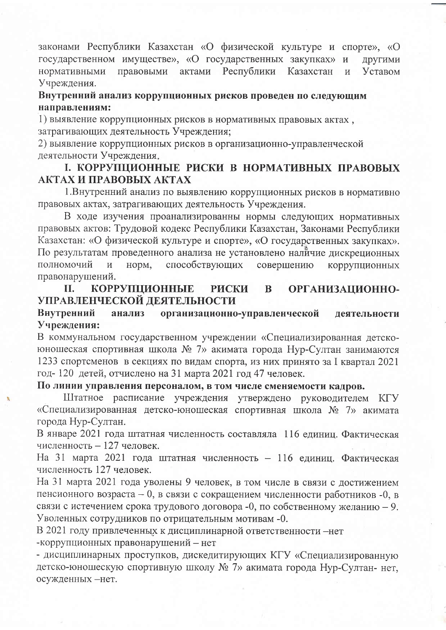законами Республики Казахстан «О физической культуре и спорте», «О государственном имуществе», «О государственных закупках» и ДРУГИМИ нормативными правовыми актами Республики Казахстан Уставом  $\overline{M}$ Учреждения.

### Внутренний анализ коррупционных рисков проведен по следующим направлениям:

1) выявление коррупционных рисков в нормативных правовых актах, затрагивающих деятельность Учреждения;

2) выявление коррупционных рисков в организационно-управленческой деятельности Учреждения.

# І. КОРРУПЦИОННЫЕ РИСКИ В НОРМАТИВНЫХ ПРАВОВЫХ АКТАХ И ПРАВОВЫХ АКТАХ

1. Внутренний анализ по выявлению коррупционных рисков в нормативно правовых актах, затрагивающих деятельность Учреждения.

В ходе изучения проанализированны нормы следующих нормативных правовых актов: Трудовой кодекс Республики Казахстан, Законами Республики Казахстан: «О физической культуре и спорте», «О государственных закупках». По результатам проведенного анализа не установлено наличие дискреционных полномочий способствующих  $\overline{M}$ норм, совершению коррупционных правонарушений.

#### **КОРРУПЦИОННЫЕ** ОРГАНИЗАЦИОННО-П. **РИСКИ** B УПРАВЛЕНЧЕСКОЙ ДЕЯТЕЛЬНОСТИ

#### Внутренний анализ организационно-управленческой деятельности Учреждения:

В коммунальном государственном учреждении «Специализированная детскоюношеская спортивная школа № 7» акимата города Нур-Султан занимаются 1233 спортсменов в секциях по видам спорта, из них принято за I квартал 2021 год-120 детей, отчислено на 31 марта 2021 год 47 человек.

#### По линии управления персоналом, в том числе сменяемости кадров.

Штатное расписание учреждения утверждено руководителем КГУ «Специализированная детско-юношеская спортивная школа № 7» акимата города Нур-Султан.

В январе 2021 года штатная численность составляла 116 единиц. Фактическая численность - 127 человек.

На 31 марта 2021 года штатная численность - 116 единиц. Фактическая численность 127 человек.

На 31 марта 2021 года уволены 9 человек, в том числе в связи с достижением пенсионного возраста - 0, в связи с сокращением численности работников -0, в связи с истечением срока трудового договора -0, по собственному желанию - 9. Уволенных сотрудников по отрицательным мотивам -0.

В 2021 году привлеченных к дисциплинарной ответственности - нет -коррупционных правонарушений - нет

- дисциплинарных проступков, дискедитирующих КГУ «Специализированную детско-юношескую спортивную школу № 7» акимата города Нур-Султан- нет, осужденных -нет.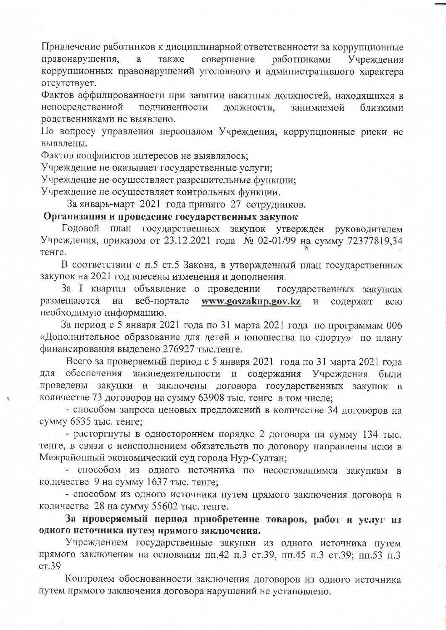Привлечение работников к дисциплинарной ответственности за коррупционные правонарушения, a также совершение работниками Учрежления коррупционных правонарушений уголовного и административного характера отсутствует.

Фактов аффилированности при занятии вакатных должностей, находящихся в непосредственной подчиненности должности, занимаемой близкими родственниками не выявлено.

По вопросу управления персоналом Учреждения, коррупционные риски не выявлены.

Фактов конфликтов интересов не выявлялось;

Учреждение не оказывает государственные услуги;

Учреждение не осуществляет разрешительные функции;

Учреждение не осуществляет контрольных функции.

За январь-март 2021 года принято 27 сотрудников.

#### Организация и проведение государственных закупок

Годовой план государственных закупок утвержден руководителем Учреждения, приказом от 23.12.2021 года № 02-01/99 на сумму 72377819,34 тенге.

В соответствии с п.5 ст.5 Закона, в утвержденный план государственных закупок на 2021 год внесены изменения и дополнения.

За I квартал объявление о проведении государственных закупках размещаются на веб-портале www.goszakup.gov.kz  $\,$  M содержат всю необходимую информацию.

За период с 5 января 2021 года по 31 марта 2021 года по программам 006 «Дополнительное образование для детей и юношества по спорту» по плану финансирования выделено 276927 тыс. тенге.

Всего за проверяемый период с 5 января 2021 года по 31 марта 2021 года ДЛЯ обеспечения жизнедеятельности и содержания Учреждения были проведены закупки и заключены договора государственных закупок в количестве 73 договоров на сумму 63908 тыс. тенге в том числе;

- способом запроса ценовых предложений в количестве 34 договоров на сумму 6535 тыс. тенге;

- расторгнуты в одностороннем порядке 2 договора на сумму 134 тыс. тенге, в связи с неисполнением обязательств по договору направлены иски в Межрайонный экономический суд города Нур-Султан;

- способом из одного источника по несостоявшимся закупкам в количестве 9 на сумму 1637 тыс. тенге;

- способом из одного источника путем прямого заключения договора в количестве 28 на сумму 55602 тыс. тенге.

За проверяемый период приобретение товаров, работ и услуг из одного источника путем прямого заключения.

Учреждением государственные закупки из одного источника путем прямого заключения на основании пп.42 п.3 ст.39, пп.45 п.3 ст.39; пп.53 п.3  $cr.39$ 

Контролем обоснованности заключения договоров из одного источника путем прямого заключения договора нарушений не установлено.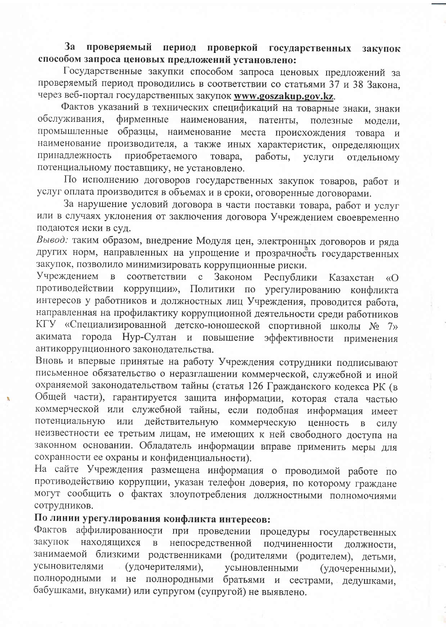#### проверяемый период проверкой государственных закупок  $3a$ способом запроса ценовых предложений установлено:

Государственные закупки способом запроса ценовых предложений за проверяемый период проводились в соответствии со статьями 37 и 38 Закона, через веб-портал государственных закупок www.goszakup.gov.kz.

Фактов указаний в технических спецификаций на товарные знаки, знаки обслуживания. фирменные наименования. патенты, полезные модели. промышленные образцы, наименование места происхождения товара и наименование производителя, а также иных характеристик, определяющих принадлежность приобретаемого товара, работы. услуги отдельному потенциальному поставщику, не установлено.

По исполнению договоров государственных закупок товаров, работ и услуг оплата производится в объемах и в сроки, оговоренные договорами.

За нарушение условий договора в части поставки товара, работ и услуг или в случаях уклонения от заключения договора Учреждением своевременно подаются иски в суд.

Вывод: таким образом, внедрение Модуля цен, электронных договоров и ряда других норм, направленных на упрощение и прозрачность государственных закупок, позволило минимизировать коррупционные риски.

Учреждением в соответствии с Законом Республики Казахстан  $\langle \langle \mathcal{O} \rangle$ противодействии коррупции», Политики по урегулированию конфликта интересов у работников и должностных лиц Учреждения, проводится работа, направленная на профилактику коррупционной деятельности среди работников КГУ «Специализированной детско-юношеской спортивной школы № 7» акимата города Нур-Султан и повышение эффективности применения антикоррупционного законодательства.

Вновь и впервые принятые на работу Учреждения сотрудники подписывают письменное обязательство о неразглашении коммерческой, служебной и иной охраняемой законодательством тайны (статья 126 Гражданского кодекса РК (в Общей части), гарантируется защита информации, которая стала частью коммерческой или служебной тайны, если подобная информация имеет потенциальную или действительную коммерческую ценность  $\mathbf{B}$ силу неизвестности ее третьим лицам, не имеющих к ней свободного доступа на законном основании. Обладатель информации вправе применить меры для сохранности ее охраны и конфиденциальности).

На сайте Учреждения размещена информация о проводимой работе по противодействию коррупции, указан телефон доверия, по которому граждане могут сообщить о фактах злоупотребления должностными полномочиями сотрудников.

# По линии урегулирования конфликта интересов:

Фактов аффилированности при проведении процедуры государственных закупок находящихся непосредственной  $\, {\bf B}$ подчиненности должности. занимаемой близкими родственниками (родителями (родителем), детьми, усыновителями (удочерителями), усыновленными (удочеренными). полнородными и не полнородными братьями и сестрами, дедушками, бабушками, внуками) или супругом (супругой) не выявлено.